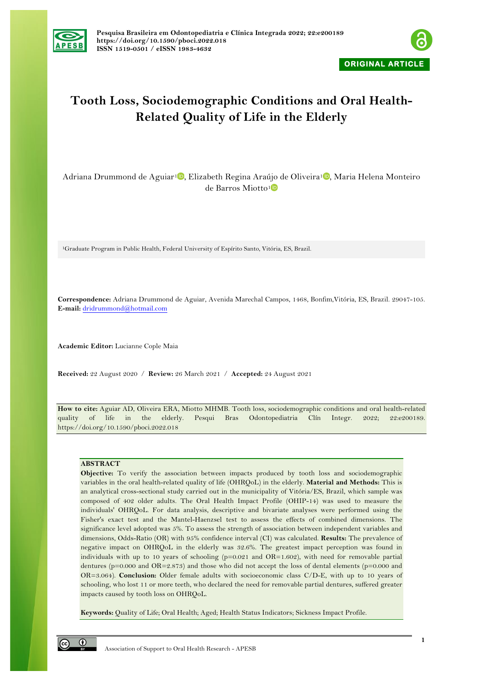



# **Tooth Loss, Sociodemographic Conditions and Oral Health-Related Quality of Life in the Elderly**

Adriana Drummond de Aguiar<sup>1</sup><sup>0</sup>[,](https://orcid.org/0000-0002-6616-4273) Elizabeth Regina Araújo de Oliveira<sup>1</sup><sup>0</sup>, Maria Helena Monteiro de Barros Miotto[1](https://orcid.org/0000-0002-3227-7608)

1Graduate Program in Public Health, Federal University of Espírito Santo, Vitória, ES, Brazil.

**Correspondence:** Adriana Drummond de Aguiar, Avenida Marechal Campos, 1468, Bonfim,Vitória, ES, Brazil. 29047-105. **E-mail:** dridrummond@hotmail.com

**Academic Editor:** Lucianne Cople Maia

**Received:** 22 August 2020 / **Review:** 26 March 2021 / **Accepted:** 24 August 2021

**How to cite:** Aguiar AD, Oliveira ERA, Miotto MHMB. Tooth loss, sociodemographic conditions and oral health-related quality of life in the elderly. Pesqui Bras Odontopediatria Clín Integr. 2022; 22:e200189. https://doi.org/10.1590/pboci.2022.018

# **ABSTRACT**

**Objective:** To verify the association between impacts produced by tooth loss and sociodemographic variables in the oral health-related quality of life (OHRQoL) in the elderly. **Material and Methods:** This is an analytical cross-sectional study carried out in the municipality of Vitória/ES, Brazil, which sample was composed of 402 older adults. The Oral Health Impact Profile (OHIP-14) was used to measure the individuals' OHRQoL. For data analysis, descriptive and bivariate analyses were performed using the Fisher's exact test and the Mantel-Haenzsel test to assess the effects of combined dimensions. The significance level adopted was 5%. To assess the strength of association between independent variables and dimensions, Odds-Ratio (OR) with 95% confidence interval (CI) was calculated. **Results:** The prevalence of negative impact on OHRQoL in the elderly was 32.6%. The greatest impact perception was found in individuals with up to 10 years of schooling  $(p=0.021)$  and  $OR=1.602$ , with need for removable partial dentures ( $p=0.000$  and  $OR=2.873$ ) and those who did not accept the loss of dental elements ( $p=0.000$  and OR=3.064). **Conclusion:** Older female adults with socioeconomic class C/D-E, with up to 10 years of schooling, who lost 11 or more teeth, who declared the need for removable partial dentures, suffered greater impacts caused by tooth loss on OHRQoL.

**Keywords:** Quality of Life; Oral Health; Aged; Health Status Indicators; Sicknes s Impact Profile.

 $\odot$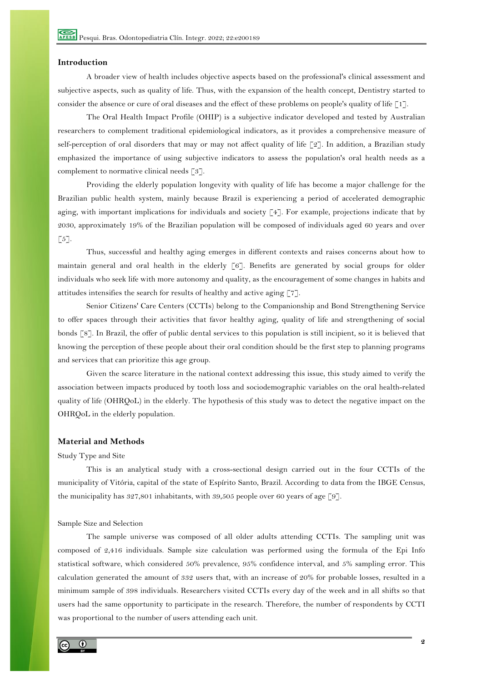## **Introduction**

A broader view of health includes objective aspects based on the professional's clinical assessment and subjective aspects, such as quality of life. Thus, with the expansion of the health concept, Dentistry started to consider the absence or cure of oral diseases and the effect of these problems on people's quality of life [1].

The Oral Health Impact Profile (OHIP) is a subjective indicator developed and tested by Australian researchers to complement traditional epidemiological indicators, as it provides a comprehensive measure of self-perception of oral disorders that may or may not affect quality of life [2]. In addition, a Brazilian study emphasized the importance of using subjective indicators to assess the population's oral health needs as a complement to normative clinical needs [3].

Providing the elderly population longevity with quality of life has become a major challenge for the Brazilian public health system, mainly because Brazil is experiencing a period of accelerated demographic aging, with important implications for individuals and society [4]. For example, projections indicate that by 2030, approximately 19% of the Brazilian population will be composed of individuals aged 60 years and over  $\lbrack 5 \rbrack.$ 

Thus, successful and healthy aging emerges in different contexts and raises concerns about how to maintain general and oral health in the elderly [6]. Benefits are generated by social groups for older individuals who seek life with more autonomy and quality, as the encouragement of some changes in habits and attitudes intensifies the search for results of healthy and active aging [7].

Senior Citizens' Care Centers (CCTIs) belong to the Companionship and Bond Strengthening Service to offer spaces through their activities that favor healthy aging, quality of life and strengthening of social bonds [8]. In Brazil, the offer of public dental services to this population is still incipient, so it is believed that knowing the perception of these people about their oral condition should be the first step to planning programs and services that can prioritize this age group.

Given the scarce literature in the national context addressing this issue, this study aimed to verify the association between impacts produced by tooth loss and sociodemographic variables on the oral health-related quality of life (OHRQoL) in the elderly. The hypothesis of this study was to detect the negative impact on the OHRQoL in the elderly population.

# **Material and Methods**

## Study Type and Site

This is an analytical study with a cross-sectional design carried out in the four CCTIs of the municipality of Vitória, capital of the state of Espírito Santo, Brazil. According to data from the IBGE Census, the municipality has 327,801 inhabitants, with 39,505 people over 60 years of age [9].

#### Sample Size and Selection

The sample universe was composed of all older adults attending CCTIs. The sampling unit was composed of 2,416 individuals. Sample size calculation was performed using the formula of the Epi Info statistical software, which considered 50% prevalence, 95% confidence interval, and 5% sampling error. This calculation generated the amount of 332 users that, with an increase of 20% for probable losses, resulted in a minimum sample of 398 individuals. Researchers visited CCTIs every day of the week and in all shifts so that users had the same opportunity to participate in the research. Therefore, the number of respondents by CCTI was proportional to the number of users attending each unit.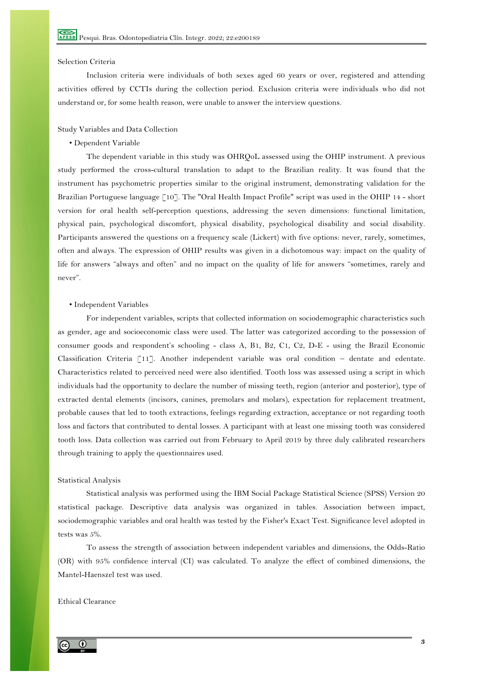## Selection Criteria

Inclusion criteria were individuals of both sexes aged 60 years or over, registered and attending activities offered by CCTIs during the collection period. Exclusion criteria were individuals who did not understand or, for some health reason, were unable to answer the interview questions.

### Study Variables and Data Collection

#### • Dependent Variable

The dependent variable in this study was OHRQoL assessed using the OHIP instrument. A previous study performed the cross-cultural translation to adapt to the Brazilian reality. It was found that the instrument has psychometric properties similar to the original instrument, demonstrating validation for the Brazilian Portuguese language [10]. The "Oral Health Impact Profile" script was used in the OHIP 14 - short version for oral health self-perception questions, addressing the seven dimensions: functional limitation, physical pain, psychological discomfort, physical disability, psychological disability and social disability. Participants answered the questions on a frequency scale (Lickert) with five options: never, rarely, sometimes, often and always. The expression of OHIP results was given in a dichotomous way: impact on the quality of life for answers "always and often" and no impact on the quality of life for answers "sometimes, rarely and never".

### • Independent Variables

For independent variables, scripts that collected information on sociodemographic characteristics such as gender, age and socioeconomic class were used. The latter was categorized according to the possession of consumer goods and respondent's schooling - class A, B1, B2, C1, C2, D-E - using the Brazil Economic Classification Criteria [11]. Another independent variable was oral condition – dentate and edentate. Characteristics related to perceived need were also identified. Tooth loss was assessed using a script in which individuals had the opportunity to declare the number of missing teeth, region (anterior and posterior), type of extracted dental elements (incisors, canines, premolars and molars), expectation for replacement treatment, probable causes that led to tooth extractions, feelings regarding extraction, acceptance or not regarding tooth loss and factors that contributed to dental losses. A participant with at least one missing tooth was considered tooth loss. Data collection was carried out from February to April 2019 by three duly calibrated researchers through training to apply the questionnaires used.

#### Statistical Analysis

Statistical analysis was performed using the IBM Social Package Statistical Science (SPSS) Version 20 statistical package. Descriptive data analysis was organized in tables. Association between impact, sociodemographic variables and oral health was tested by the Fisher's Exact Test. Significance level adopted in tests was 5%.

To assess the strength of association between independent variables and dimensions, the Odds-Ratio (OR) with 95% confidence interval (CI) was calculated. To analyze the effect of combined dimensions, the Mantel-Haenszel test was used.

## Ethical Clearance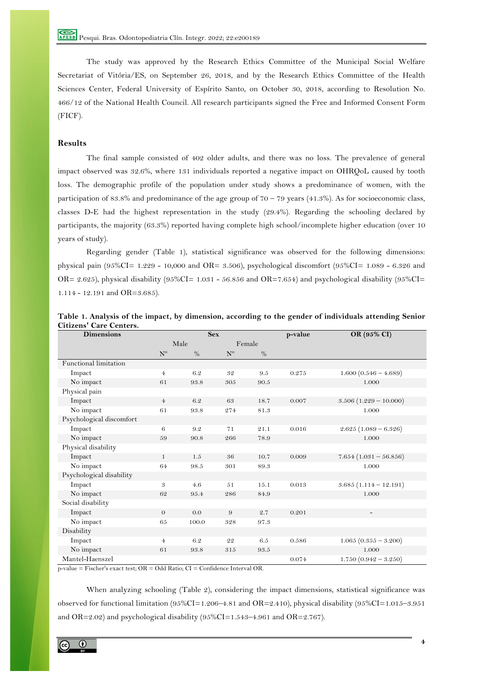The study was approved by the Research Ethics Committee of the Municipal Social Welfare Secretariat of Vitória/ES, on September 26, 2018, and by the Research Ethics Committee of the Health Sciences Center, Federal University of Espírito Santo, on October 30, 2018, according to Resolution No. 466/12 of the National Health Council. All research participants signed the Free and Informed Consent Form (FICF).

# **Results**

The final sample consisted of 402 older adults, and there was no loss. The prevalence of general impact observed was 32.6%, where 131 individuals reported a negative impact on OHRQoL caused by tooth loss. The demographic profile of the population under study shows a predominance of women, with the participation of 83.8% and predominance of the age group of 70 – 79 years (41.3%). As for socioeconomic class, classes D-E had the highest representation in the study (29.4%). Regarding the schooling declared by participants, the majority (63.3%) reported having complete high school/incomplete higher education (over 10 years of study).

Regarding gender (Table 1), statistical significance was observed for the following dimensions: physical pain (95%CI=  $1.229 - 10,000$  and OR= 3.506), psychological discomfort (95%CI=  $1.089 - 6.326$  and OR= 2.625), physical disability (95%CI= 1.031 - 56.856 and OR=7.654) and psychological disability (95%CI= 1.114 - 12.191 and OR=3.685).

| <b>Dimensions</b>        |                | <b>Sex</b> |         |        | p-value | OR (95% CI)             |
|--------------------------|----------------|------------|---------|--------|---------|-------------------------|
|                          |                | Male       |         | Female |         |                         |
|                          | $N^{\rm o}$    | $\%$       | $N^{o}$ | $\%$   |         |                         |
| Functional limitation    |                |            |         |        |         |                         |
| Impact                   | $\overline{4}$ | 6.2        | 32      | 9.5    | 0.275   | $1.600(0.546 - 4.689)$  |
| No impact                | 61             | 93.8       | 305     | 90.5   |         | 1.000                   |
| Physical pain            |                |            |         |        |         |                         |
| Impact                   | 4 <sup>5</sup> | 6.2        | 63      | 18.7   | 0.007   | $3.506(1.229 - 10.000)$ |
| No impact                | 61             | 93.8       | 274     | 81.3   |         | 1.000                   |
| Psychological discomfort |                |            |         |        |         |                         |
| Impact                   | 6              | 9.2        | 71      | 21.1   | 0.016   | $2.625(1.089 - 6.326)$  |
| No impact                | 59             | 90.8       | 266     | 78.9   |         | 1.000                   |
| Physical disability      |                |            |         |        |         |                         |
| Impact                   | $\mathbf{1}$   | 1.5        | 36      | 10.7   | 0.009   | $7.654(1.031 - 56.856)$ |
| No impact                | 64             | 98.5       | 301     | 89.3   |         | 1.000                   |
| Psychological disability |                |            |         |        |         |                         |
| Impact                   | 3              | 4.6        | 51      | 15.1   | 0.013   | $3.685(1.114 - 12.191)$ |
| No impact                | 62             | 95.4       | 286     | 84.9   |         | 1.000                   |
| Social disability        |                |            |         |        |         |                         |
| Impact                   | $\overline{O}$ | 0.0        | 9       | 2.7    | 0.201   | -                       |
| No impact                | 65             | 100.0      | 328     | 97.3   |         |                         |
| Disability               |                |            |         |        |         |                         |
| Impact                   | $\overline{4}$ | 6.2        | 22      | 6.5    | 0.586   | $1.065(0.355 - 3.200)$  |
| No impact                | 61             | 93.8       | 315     | 93.5   |         | 1.000                   |
| Mantel-Haenszel          |                |            |         |        | 0.074   | $1.750(0.942 - 3.250)$  |

| Table 1. Analysis of the impact, by dimension, according to the gender of individuals attending Senior |  |  |  |
|--------------------------------------------------------------------------------------------------------|--|--|--|
| <b>Citizens' Care Centers.</b>                                                                         |  |  |  |

 $p-value = Fischer's exact test: OR = Odd Ratio: CI = Confidence Interval OR$ .

When analyzing schooling (Table 2), considering the impact dimensions, statistical significance was observed for functional limitation (95%CI=1.206–4.81 and OR=2.410), physical disability (95%CI=1.015–3.951 and OR=2.02) and psychological disability  $(95\%CI=1.543-4.961$  and OR=2.767).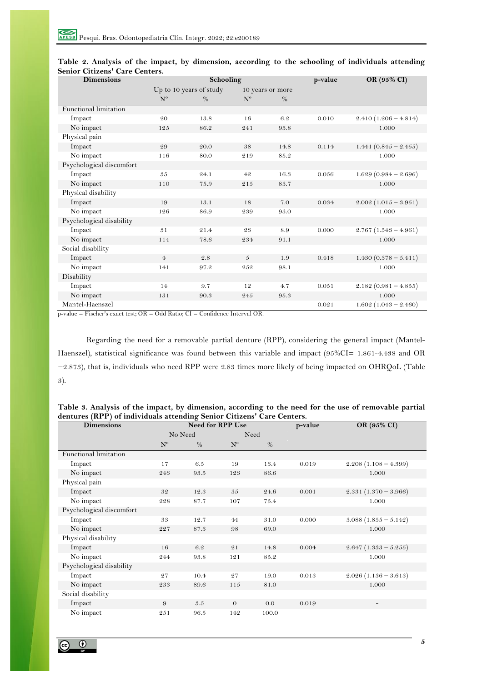| <b>Dimensions</b>        |                | Schooling               |                |                  | p-value | OR (95% CI)             |
|--------------------------|----------------|-------------------------|----------------|------------------|---------|-------------------------|
|                          |                | Up to 10 years of study |                | 10 years or more |         |                         |
|                          | N <sup>o</sup> | $\%$                    | $N^{\rm o}$    | $\%$             |         |                         |
| Functional limitation    |                |                         |                |                  |         |                         |
| Impact                   | 20             | 13.8                    | 16             | 6.2              | 0.010   | $2.410(1.206 - 4.814)$  |
| No impact                | 125            | 86.2                    | 241            | 93.8             |         | 1.000                   |
| Physical pain            |                |                         |                |                  |         |                         |
| Impact                   | 29             | 20.0                    | 38             | 14.8             | 0.114   | 1.441 $(0.845 - 2.455)$ |
| No impact                | 116            | 80.0                    | 219            | 85.2             |         | 1.000                   |
| Psychological discomfort |                |                         |                |                  |         |                         |
| Impact                   | 35             | 24.1                    | 42             | 16.3             | 0.056   | $1.629(0.984 - 2.696)$  |
| No impact                | 110            | 75.9                    | 215            | 83.7             |         | 1.000                   |
| Physical disability      |                |                         |                |                  |         |                         |
| Impact                   | 19             | 13.1                    | 18             | 7.0              | 0.034   | $2.002(1.015 - 3.951)$  |
| No impact                | 126            | 86.9                    | 239            | 93.0             |         | 1.000                   |
| Psychological disability |                |                         |                |                  |         |                         |
| Impact                   | 31             | 21.4                    | 23             | 8.9              | 0.000   | $2.767(1.543 - 4.961)$  |
| No impact                | 114            | 78.6                    | 234            | 91.1             |         | 1.000                   |
| Social disability        |                |                         |                |                  |         |                         |
| Impact                   | $\overline{4}$ | 2.8                     | $\overline{5}$ | 1.9              | 0.418   | $1.430(0.378 - 5.411)$  |
| No impact                | 141            | 97.2                    | 252            | 98.1             |         | 1.000                   |
| Disability               |                |                         |                |                  |         |                         |
| Impact                   | 14             | 9.7                     | 12             | 4.7              | 0.051   | $2.182(0.981 - 4.855)$  |
| No impact                | 131            | 90.3                    | 245            | 95.3             |         | 1.000                   |
| Mantel-Haenszel          |                |                         |                |                  | 0.021   | $1.602(1.043 - 2.460)$  |

|                                |  |  |  |  |  | Table 2. Analysis of the impact, by dimension, according to the schooling of individuals attending |  |
|--------------------------------|--|--|--|--|--|----------------------------------------------------------------------------------------------------|--|
| Senior Citizens' Care Centers. |  |  |  |  |  |                                                                                                    |  |

p-value = Fischer's exact test; OR = Odd Ratio; CI = Confidence Interval OR.

Regarding the need for a removable partial denture (RPP), considering the general impact (Mantel-Haenszel), statistical significance was found between this variable and impact (95%CI= 1.861-4.438 and OR =2.873), that is, individuals who need RPP were 2.83 times more likely of being impacted on OHRQoL (Table 3).

| Table 3. Analysis of the impact, by dimension, according to the need for the use of removable partial |  |  |  |  |  |  |  |  |
|-------------------------------------------------------------------------------------------------------|--|--|--|--|--|--|--|--|
| dentures (RPP) of individuals attending Senior Citizens' Care Centers.                                |  |  |  |  |  |  |  |  |

| <b>Dimensions</b>        |         | o<br><b>Need for RPP Use</b> |          |       | p-value | OR (95% CI)                  |
|--------------------------|---------|------------------------------|----------|-------|---------|------------------------------|
|                          | No Need |                              | Need     |       |         |                              |
|                          | $N^{o}$ | $\%$                         | $N^{o}$  | $\%$  |         |                              |
| Functional limitation    |         |                              |          |       |         |                              |
| Impact                   | 17      | 6.5                          | 19       | 13.4  | 0.019   | $2.208(1.108 - 4.399)$       |
| No impact                | 243     | 93.5                         | 123      | 86.6  |         | 1.000                        |
| Physical pain            |         |                              |          |       |         |                              |
| Impact                   | 32      | 12.3                         | 35       | 24.6  | 0.001   | $2.331(1.370 - 3.966)$       |
| No impact                | 228     | 87.7                         | 107      | 75.4  |         | 1.000                        |
| Psychological discomfort |         |                              |          |       |         |                              |
| Impact                   | 33      | 12.7                         | 44       | 31.0  | 0.000   | $3.088(1.855 - 5.142)$       |
| No impact                | 227     | 87.3                         | 98       | 69.0  |         | 1.000                        |
| Physical disability      |         |                              |          |       |         |                              |
| Impact                   | 16      | 6.2                          | 21       | 14.8  | 0.004   | $2.647$ $(1.333 - 5.255)$    |
| No impact                | 244     | 93.8                         | 121      | 85.2  |         | 1.000                        |
| Psychological disability |         |                              |          |       |         |                              |
| Impact                   | 27      | 10.4                         | 27       | 19.0  | 0.013   | $2.026(1.136 - 3.613)$       |
| No impact                | 233     | 89.6                         | 115      | 81.0  |         | 1.000                        |
| Social disability        |         |                              |          |       |         |                              |
| Impact                   | 9       | 3.5                          | $\theta$ | 0.0   | 0.019   | $\qquad \qquad \blacksquare$ |
| No impact                | 251     | 96.5                         | 142      | 100.0 |         |                              |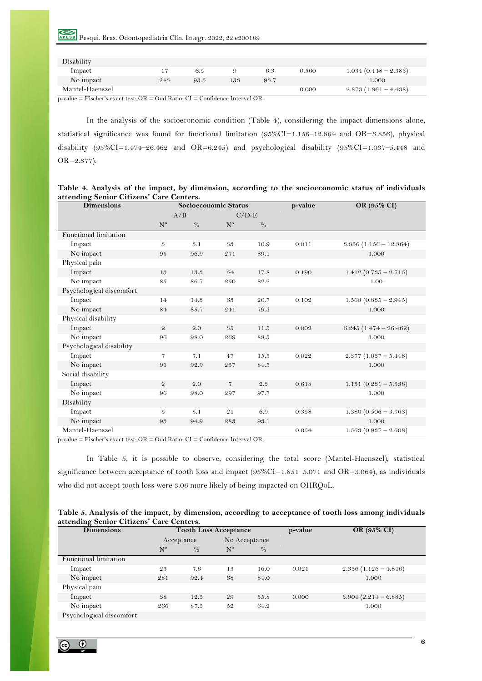# Pesqui. Bras. Odontopediatria Clín. Integr. 2022; 22:e200189

| Disability      |     |      |     |      |       |                        |
|-----------------|-----|------|-----|------|-------|------------------------|
| Impact          |     | 6.5  |     | 6.3  | 0.560 | $1.034(0.448 - 2.383)$ |
| No impact       | 243 | 93.5 | 133 | 93.7 |       | 1.000                  |
| Mantel-Haenszel |     |      |     |      | 0.000 | $2.873(1.861 - 4.438)$ |

p-value = Fischer's exact test; OR = Odd Ratio; CI = Confidence Interval OR.

In the analysis of the socioeconomic condition (Table 4), considering the impact dimensions alone, statistical significance was found for functional limitation (95%CI=1.156–12.864 and OR=3.856), physical disability  $(95\%CI = 1.474 - 26.462$  and  $OR = 6.245$  and psychological disability  $(95\%CI = 1.037 - 5.448$  and OR=2.377).

| Table 4. Analysis of the impact, by dimension, according to the socioeconomic status of individuals |  |  |
|-----------------------------------------------------------------------------------------------------|--|--|
| attending Senior Citizens' Care Centers.                                                            |  |  |

| <b>Dimensions</b>        |                | Socioeconomic Status |                |         | p-value | OR (95% CI)             |
|--------------------------|----------------|----------------------|----------------|---------|---------|-------------------------|
|                          |                | A/B                  |                | $C/D-E$ |         |                         |
|                          | $N^{\rm o}$    | $\%$                 | $N^{\rm o}$    | $\%$    |         |                         |
| Functional limitation    |                |                      |                |         |         |                         |
| Impact                   | 3              | 3.1                  | 33             | 10.9    | 0.011   | $3.856(1.156 - 12.864)$ |
| No impact                | 95             | 96.9                 | 271            | 89.1    |         | 1.000                   |
| Physical pain            |                |                      |                |         |         |                         |
| Impact                   | 13             | 13.3                 | 54             | 17.8    | 0.190   | 1.412 $(0.735 - 2.715)$ |
| No impact                | 85             | 86.7                 | 250            | 82.2    |         | 1.00                    |
| Psychological discomfort |                |                      |                |         |         |                         |
| Impact                   | 14             | 14.3                 | 63             | 20.7    | 0.102   | $1.568(0.835 - 2.945)$  |
| No impact                | 84             | 85.7                 | 241            | 79.3    |         | 1.000                   |
| Physical disability      |                |                      |                |         |         |                         |
| Impact                   | $\mathfrak{D}$ | 2.0                  | 35             | 11.5    | 0.002   | $6.245(1.474 - 26.462)$ |
| No impact                | 96             | 98.0                 | 269            | 88.5    |         | 1.000                   |
| Psychological disability |                |                      |                |         |         |                         |
| Impact                   | $\overline{7}$ | 7.1                  | 47             | 15.5    | 0.022   | $2.377(1.037 - 5.448)$  |
| No impact                | 91             | 92.9                 | 257            | 84.5    |         | 1.000                   |
| Social disability        |                |                      |                |         |         |                         |
| Impact                   | $\mathfrak{D}$ | 2.0                  | $\overline{7}$ | $2.3\,$ | 0.618   | 1.131 $(0.231 - 5.538)$ |
| No impact                | 96             | 98.0                 | 297            | 97.7    |         | 1.000                   |
| Disability               |                |                      |                |         |         |                         |
| Impact                   | 5              | 5.1                  | 21             | 6.9     | 0.358   | $1.380(0.506 - 3.763)$  |
| No impact                | 93             | 94.9                 | 283            | 93.1    |         | 1.000                   |
| Mantel-Haenszel          |                |                      |                |         | 0.054   | $1.563(0.937 - 2.608)$  |

p-value = Fischer's exact test; OR = Odd Ratio; CI = Confidence Interval OR.

In Table 5, it is possible to observe, considering the total score (Mantel-Haenszel), statistical significance between acceptance of tooth loss and impact  $(95\%CI=1.851-5.071$  and OR=3.064), as individuals who did not accept tooth loss were 3.06 more likely of being impacted on OHRQoL.

| Table 5. Analysis of the impact, by dimension, according to acceptance of tooth loss among individuals |  |  |
|--------------------------------------------------------------------------------------------------------|--|--|
| attending Senior Citizens' Care Centers.                                                               |  |  |

| <b>Dimensions</b>        |             | <b>Tooth Loss Acceptance</b> |             |               | p-value | OR (95% CI)            |
|--------------------------|-------------|------------------------------|-------------|---------------|---------|------------------------|
|                          |             | Acceptance                   |             | No Acceptance |         |                        |
|                          | $N^{\circ}$ | $\%$                         | $N^{\rm o}$ | $\%$          |         |                        |
| Functional limitation    |             |                              |             |               |         |                        |
| Impact                   | 23          | 7.6                          | 13          | 16.0          | 0.021   | $2.336(1.126 - 4.846)$ |
| No impact                | 281         | 92.4                         | 68          | 84.0          |         | 1.000                  |
| Physical pain            |             |                              |             |               |         |                        |
| Impact                   | 38          | 12.5                         | 29          | 35.8          | 0.000   | $3.904(2.214-6.885)$   |
| No impact                | 266         | 87.5                         | 52          | 64.2          |         | 1.000                  |
| Psychological discomfort |             |                              |             |               |         |                        |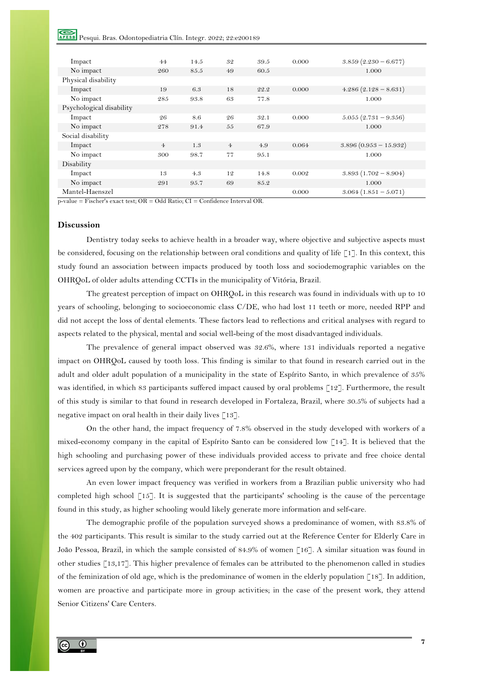# Pesqui. Bras. Odontopediatria Clín. Integr. 2022; 22:e200189

| Impact                   | 44             | 14.5 | 32             | 39.5 | 0.000 | $3.859(2.230 - 6.677)$  |
|--------------------------|----------------|------|----------------|------|-------|-------------------------|
| No impact                | 260            | 85.5 | 49             | 60.5 |       | 1.000                   |
| Physical disability      |                |      |                |      |       |                         |
| Impact                   | 19             | 6.3  | 18             | 22.2 | 0.000 | $4.286(2.128-8.631)$    |
| No impact                | 285            | 93.8 | 63             | 77.8 |       | 1.000                   |
| Psychological disability |                |      |                |      |       |                         |
| Impact                   | 26             | 8.6  | 26             | 32.1 | 0.000 | $5.055(2.731 - 9.356)$  |
| No impact                | 278            | 91.4 | 55             | 67.9 |       | 1.000                   |
| Social disability        |                |      |                |      |       |                         |
| Impact                   | $\overline{4}$ | 1.3  | $\overline{4}$ | 4.9  | 0.064 | $3.896(0.953 - 15.932)$ |
| No impact                | 300            | 98.7 | 77             | 95.1 |       | 1.000                   |
| Disability               |                |      |                |      |       |                         |
| Impact                   | 13             | 4.3  | 12             | 14.8 | 0.002 | $3.893(1.702 - 8.904)$  |
| No impact                | 291            | 95.7 | 69             | 85.2 |       | 1.000                   |
| Mantel-Haenszel          |                |      |                |      | 0.000 | $3.064(1.851 - 5.071)$  |

p-value = Fischer's exact test; OR = Odd Ratio; CI = Confidence Interval OR.

# **Discussion**

Dentistry today seeks to achieve health in a broader way, where objective and subjective aspects must be considered, focusing on the relationship between oral conditions and quality of life [1]. In this context, this study found an association between impacts produced by tooth loss and sociodemographic variables on the OHRQoL of older adults attending CCTIs in the municipality of Vitória, Brazil.

The greatest perception of impact on OHRQoL in this research was found in individuals with up to 10 years of schooling, belonging to socioeconomic class C/DE, who had lost 11 teeth or more, needed RPP and did not accept the loss of dental elements. These factors lead to reflections and critical analyses with regard to aspects related to the physical, mental and social well-being of the most disadvantaged individuals.

The prevalence of general impact observed was 32.6%, where 131 individuals reported a negative impact on OHRQoL caused by tooth loss. This finding is similar to that found in research carried out in the adult and older adult population of a municipality in the state of Espírito Santo, in which prevalence of 35% was identified, in which 83 participants suffered impact caused by oral problems [12]. Furthermore, the result of this study is similar to that found in research developed in Fortaleza, Brazil, where 30.5% of subjects had a negative impact on oral health in their daily lives  $\lceil 13 \rceil$ .

On the other hand, the impact frequency of 7.8% observed in the study developed with workers of a mixed-economy company in the capital of Espírito Santo can be considered low [14]. It is believed that the high schooling and purchasing power of these individuals provided access to private and free choice dental services agreed upon by the company, which were preponderant for the result obtained.

An even lower impact frequency was verified in workers from a Brazilian public university who had completed high school [15]. It is suggested that the participants' schooling is the cause of the percentage found in this study, as higher schooling would likely generate more information and self-care.

The demographic profile of the population surveyed shows a predominance of women, with 83.8% of the 402 participants. This result is similar to the study carried out at the Reference Center for Elderly Care in João Pessoa, Brazil, in which the sample consisted of 84.9% of women [16]. A similar situation was found in other studies [13,17]. This higher prevalence of females can be attributed to the phenomenon called in studies of the feminization of old age, which is the predominance of women in the elderly population  $\lceil 18 \rceil$ . In addition, women are proactive and participate more in group activities; in the case of the present work, they attend Senior Citizens' Care Centers.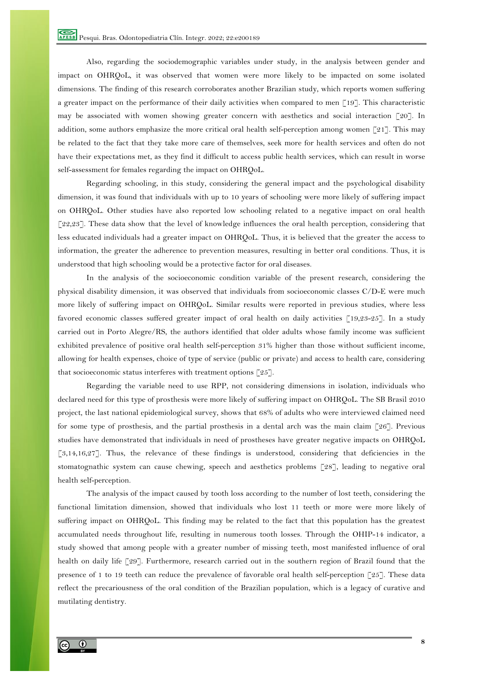Also, regarding the sociodemographic variables under study, in the analysis between gender and impact on OHRQoL, it was observed that women were more likely to be impacted on some isolated dimensions. The finding of this research corroborates another Brazilian study, which reports women suffering a greater impact on the performance of their daily activities when compared to men [19]. This characteristic may be associated with women showing greater concern with aesthetics and social interaction  $\lceil 20 \rceil$ . In addition, some authors emphasize the more critical oral health self-perception among women [21]. This may be related to the fact that they take more care of themselves, seek more for health services and often do not have their expectations met, as they find it difficult to access public health services, which can result in worse self-assessment for females regarding the impact on OHRQoL.

Regarding schooling, in this study, considering the general impact and the psychological disability dimension, it was found that individuals with up to 10 years of schooling were more likely of suffering impact on OHRQoL. Other studies have also reported low schooling related to a negative impact on oral health [22,23]. These data show that the level of knowledge influences the oral health perception, considering that less educated individuals had a greater impact on OHRQoL. Thus, it is believed that the greater the access to information, the greater the adherence to prevention measures, resulting in better oral conditions. Thus, it is understood that high schooling would be a protective factor for oral diseases.

In the analysis of the socioeconomic condition variable of the present research, considering the physical disability dimension, it was observed that individuals from socioeconomic classes C/D-E were much more likely of suffering impact on OHRQoL. Similar results were reported in previous studies, where less favored economic classes suffered greater impact of oral health on daily activities [19,23-25]. In a study carried out in Porto Alegre/RS, the authors identified that older adults whose family income was sufficient exhibited prevalence of positive oral health self-perception 31% higher than those without sufficient income, allowing for health expenses, choice of type of service (public or private) and access to health care, considering that socioeconomic status interferes with treatment options [25].

Regarding the variable need to use RPP, not considering dimensions in isolation, individuals who declared need for this type of prosthesis were more likely of suffering impact on OHRQoL. The SB Brasil 2010 project, the last national epidemiological survey, shows that 68% of adults who were interviewed claimed need for some type of prosthesis, and the partial prosthesis in a dental arch was the main claim [26]. Previous studies have demonstrated that individuals in need of prostheses have greater negative impacts on OHRQoL [3,14,16,27]. Thus, the relevance of these findings is understood, considering that deficiencies in the stomatognathic system can cause chewing, speech and aesthetics problems [28], leading to negative oral health self-perception.

The analysis of the impact caused by tooth loss according to the number of lost teeth, considering the functional limitation dimension, showed that individuals who lost 11 teeth or more were more likely of suffering impact on OHRQoL. This finding may be related to the fact that this population has the greatest accumulated needs throughout life, resulting in numerous tooth losses. Through the OHIP-14 indicator, a study showed that among people with a greater number of missing teeth, most manifested influence of oral health on daily life [29]. Furthermore, research carried out in the southern region of Brazil found that the presence of 1 to 19 teeth can reduce the prevalence of favorable oral health self-perception [25]. These data reflect the precariousness of the oral condition of the Brazilian population, which is a legacy of curative and mutilating dentistry.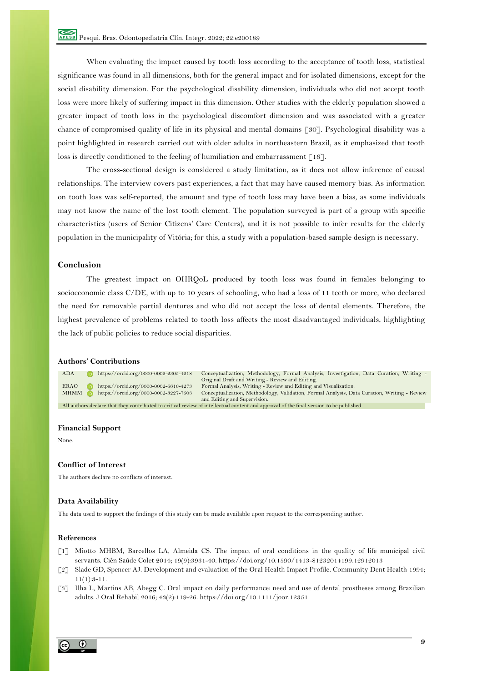When evaluating the impact caused by tooth loss according to the acceptance of tooth loss, statistical significance was found in all dimensions, both for the general impact and for isolated dimensions, except for the social disability dimension. For the psychological disability dimension, individuals who did not accept tooth loss were more likely of suffering impact in this dimension. Other studies with the elderly population showed a greater impact of tooth loss in the psychological discomfort dimension and was associated with a greater chance of compromised quality of life in its physical and mental domains [30]. Psychological disability was a point highlighted in research carried out with older adults in northeastern Brazil, as it emphasized that tooth loss is directly conditioned to the feeling of humiliation and embarrassment [16].

The cross-sectional design is considered a study limitation, as it does not allow inference of causal relationships. The interview covers past experiences, a fact that may have caused memory bias. As information on tooth loss was self-reported, the amount and type of tooth loss may have been a bias, as some individuals may not know the name of the lost tooth element. The population surveyed is part of a group with specific characteristics (users of Senior Citizens' Care Centers), and it is not possible to infer results for the elderly population in the municipality of Vitória; for this, a study with a population-based sample design is necessary.

# **Conclusion**

The greatest impact on OHRQoL produced by tooth loss was found in females belonging to socioeconomic class C/DE, with up to 10 years of schooling, who had a loss of 11 teeth or more, who declared the need for removable partial dentures and who did not accept the loss of dental elements. Therefore, the highest prevalence of problems related to tooth loss affects the most disadvantaged individuals, highlighting the lack of public policies to reduce social disparities.

## **Authors' Contributions**



#### **Financial Support**

None.

### **Conflict of Interest**

The authors declare no conflicts of interest.

## **Data Availability**

The data used to support the findings of this study can be made available upon request to the corresponding author.

#### **References**

- [1] Miotto MHBM, Barcellos LA, Almeida CS. The impact of oral conditions in the quality of life municipal civil servants. Ciên Saúde Colet 2014; 19(9):3931-40. https://doi.org/10.1590/1413-81232014199.12912013
- [2] Slade GD, Spencer AJ. Development and evaluation of the Oral Health Impact Profile. Community Dent Health 1994;  $11(1):3-11.$
- [3] Ilha L, Martins AB, Abegg C. Oral impact on daily performance: need and use of dental prostheses among Brazilian adults. J Oral Rehabil 2016; 43(2):119-26. https://doi.org/10.1111/joor.12351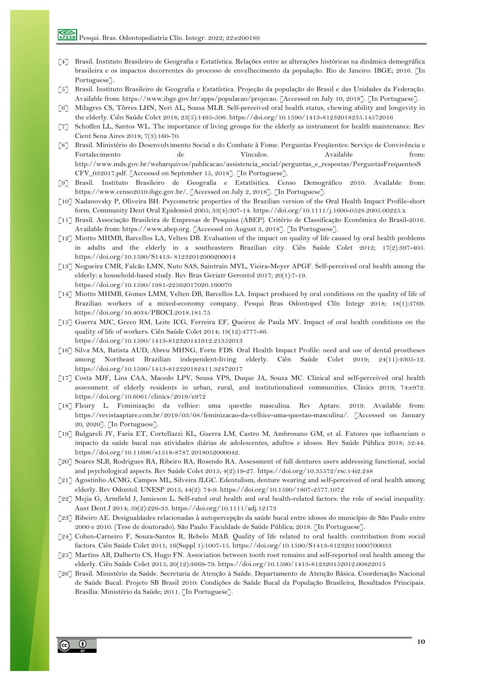- [4] Brasil. Instituto Brasileiro de Geografia e Estatística. Relações entre as alterações históricas na dinâmica demográfica brasileira e os impactos decorrentes do processo de envelhecimento da população. Rio de Janeiro: IBGE; 2016. [In Portuguese].
- [5] Brasil. Instituto Brasileiro de Geografia e Estatística. Projeção da população do Brasil e das Unidades da Federação. Available from: https://www.ibge.gov.br/apps/populacao/projecao. [Accessed on July 10, 2018]. [In Portuguese].
- [6] Milagres CS, Tôrres LHN, Neri AL, Sousa MLR. Self-perceived oral health status, chewing ability and longevity in the elderly. Ciên Saúde Colet 2018; 23(5):1495-506. https://doi.org/10.1590/1413-81232018235.14572016
- [7] Schoffen LL, Santos WL. The importance of living groups for the elderly as instrument for health maintenance. Rev Cient Sena Aires 2018; 7(3):160-70.
- [8] Brasil. Ministério do Desenvolvimento Social e do Combate à Fome. Perguntas Freqüentes: Serviço de Convivência e Fortalecimento de Vínculos. Available from: http://www.mds.gov.br/webarquivos/publicacao/assistencia\_social/perguntas\_e\_respostas/PerguntasFrequentesS CFV\_032017.pdf. [Accessed on September 15, 2018]. [In Portuguese].
- [9] Brasil. Instituto Brasileiro de Geografia e Estatísitica. Censo Demográfico 2010. Available from: https://www.censo2010.ibge.gov.br/. [Accessed on July 2, 2018]. [In Portuguese].
- [10] Nadanovsky P, Oliveira BH. Psycometric properties of the Brazilian version of the Oral Health Impact Profile-short form. Community Dent Oral Epidemiol 2005; 33(4):307-14. https://doi.org/10.1111/j.1600-0528.2005.00225.x
- [11] Brasil. Associação Brasileira de Empresas de Pesquisa (ABEP). Critério de Classificação Econômica do Brasil-2016. Available from: https://www.abep.org. [Accessed on August 3, 2018]. [In Portuguese].
- [12] Miotto MHMB, Barcellos LA, Velten DB. Evaluation of the impact on quality of life caused by oral health problems in adults and the elderly in a southeastern Brazilian city. Ciên Saúde Colet 2012; 17(2):397-405. https://doi.org/10.1590/S1413- 81232012000200014
- [13] Nogueira CMR, Falcão LMN, Nuto SAS, Saintrain MVL, Vieira-Meyer APGF. Self-perceived oral health among the elderly: a household-based study. Rev Bras Geriatr Gerontol 2017; 20(1):7-19. https://doi.org/10.1590/1981-22562017020.160070
- [14] Miotto MHMB, Gomes LMM, Velten DB, Barcellos LA. Impact produced by oral conditions on the quality of life of Brazilian workers of a mixed-economy company. Pesqui Bras Odontoped Clín Integr 2018; 18(1):3769. https://doi.org/10.4034/PBOCI.2018.181.75
- [15] Guerra MJC, Greco RM, Leite ICG, Ferreira EF, Queiroz de Paula MV. Impact of oral health conditions on the quality of life of workers. Ciên Saúde Colet 2014; 19(12):4777-86. https://doi.org/10.1590/1413-812320141912.21352013
- [16] Silva MA, Batista AUD, Abreu MHNG, Forte FDS. Oral Health Impact Profile: need and use of dental prostheses among Northeast Brazilian independent-living elderly. Ciên Saúde Colet 2019; 24(11):4305-12. https://doi.org/10.1590/1413-812320182411.32472017
- [17] Costa MJF, Lins CAA, Macedo LPV, Sousa VPS, Duque JA, Souza MC. Clinical and self-perceived oral health assessment of elderly residents in urban, rural, and institutionalized communities. Clinics 2019; 74:e972. https://doi.org/10.6061/clinics/2019/e972
- [18] Fleury L. Feminização da velhice: uma questão masculina. Rev Aptare. 2019. Available from: https://revistaaptare.com.br/2019/03/08/feminizacao-da-velhice-uma-questao-masculina/. [Accessed on January 20, 2020]. [In Portuguese].
- [19] Bulgareli JV, Faria ET, Cortellazzi KL, Guerra LM, Castro M, Ambrosano GM, et al. Fatores que influenciam o impacto da saúde bucal nas atividades diárias de adolescentes, adultos e idosos. Rev Saúde Pública 2018; 52:44. https://doi.org/10.11606/s1518-8787.2018052000042.
- [20] Soares SLB, Rodrigues RA, Ribeiro RA, Rosendo RA. Assessment of full dentures users addressing functional, social and psychological aspects. Rev Saúde Colet 2015; 4(2):19-27. https://doi.org/10.35572/rsc.v4i2.248
- [21] Agostinho ACMG, Campos ML, Silveira JLGC. Edentulism, denture wearing and self-perceived of oral health among elderly. Rev Odontol. UNESP 2015; 44(2): 74-9. https://doi.org/10.1590/1807-2577.1072
- [22] Mejia G, Armfield J, Jamieson L. Self-rated oral health and oral health-related factors: the role of social inequality. Aust Dent J 2014; 59(2):226-33. https://doi.org/10.1111/adj.12173
- [23] Ribeiro AE. Desigualdades relacionadas à autopercepção da saúde bucal entre idosos do município de São Paulo entre 2000 e 2010. (Tese de doutorado). São Paulo: Faculdade de Saúde Pública; 2018. [In Portuguese].
- [24] Cohen-Carneiro F, Souza-Santos R, Rebelo MAB. Quality of life related to oral health: contribution from social factors. Ciên Saúde Colet 2011; 16(Suppl 1):1007-15. https://doi.org/10.1590/S1413-81232011000700033
- [25] Martins AB, Dalberto CS, Hugo FN. Association between tooth root remains and self-reported oral health among the elderly. Ciên Saúde Colet 2015; 20(12):3669-79. https://doi.org/10.1590/1413-812320152012.00822015
- [26] Brasil. Ministério da Saúde. Secretaria de Atenção à Saúde. Departamento de Atenção Básica. Coordenação Nacional de Saúde Bucal. Projeto SB Brasil 2010: Condições de Saúde Bucal da População Brasileira, Resultados Principais. Brasília: Ministério da Saúde; 2011. [In Portuguese].